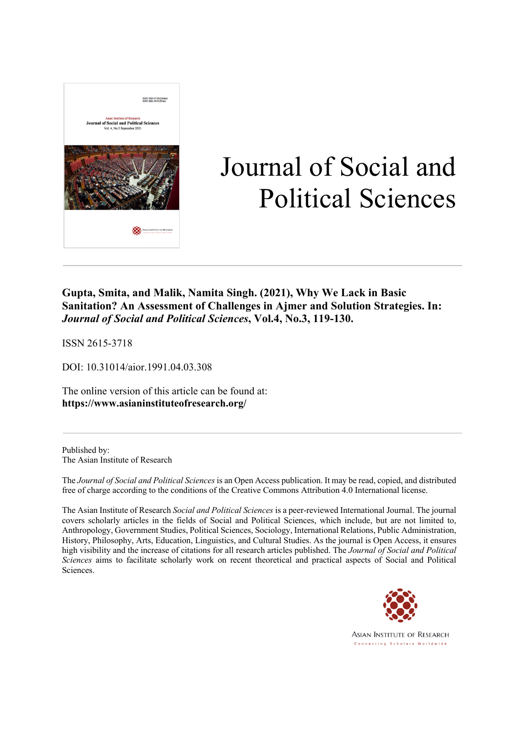

# Journal of Social and Political Sciences

**Gupta, Smita, and Malik, Namita Singh. (2021), Why We Lack in Basic Sanitation? An Assessment of Challenges in Ajmer and Solution Strategies. In:**  *Journal of Social and Political Sciences***, Vol.4, No.3, 119-130.**

ISSN 2615-3718

DOI: 10.31014/aior.1991.04.03.308

The online version of this article can be found at: **https://www.asianinstituteofresearch.org/**

Published by: The Asian Institute of Research

The *Journal of Social and Political Sciences* is an Open Access publication. It may be read, copied, and distributed free of charge according to the conditions of the Creative Commons Attribution 4.0 International license.

The Asian Institute of Research *Social and Political Sciences* is a peer-reviewed International Journal. The journal covers scholarly articles in the fields of Social and Political Sciences, which include, but are not limited to, Anthropology, Government Studies, Political Sciences, Sociology, International Relations, Public Administration, History, Philosophy, Arts, Education, Linguistics, and Cultural Studies. As the journal is Open Access, it ensures high visibility and the increase of citations for all research articles published. The *Journal of Social and Political Sciences* aims to facilitate scholarly work on recent theoretical and practical aspects of Social and Political Sciences.



**ASIAN INSTITUTE OF RESEARCH** Connecting Scholars Worldwide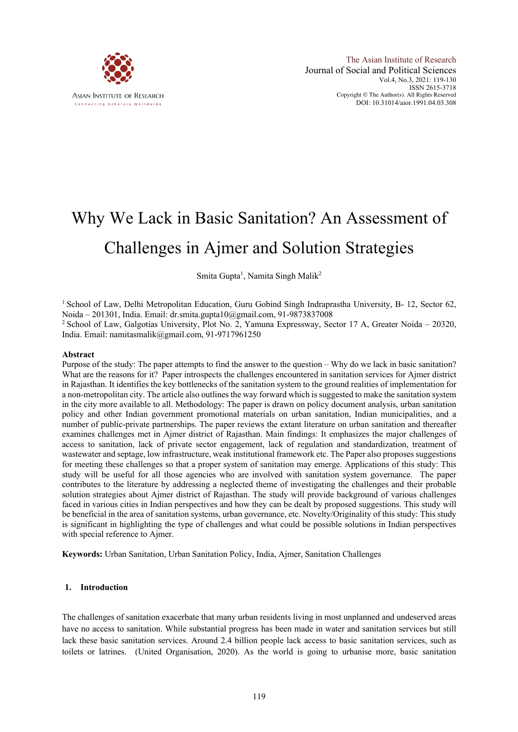

# Why We Lack in Basic Sanitation? An Assessment of Challenges in Ajmer and Solution Strategies

Smita Gupta<sup>1</sup>, Namita Singh Malik<sup>2</sup>

<sup>1</sup> School of Law, Delhi Metropolitan Education, Guru Gobind Singh Indraprastha University, B- 12, Sector 62, Noida – 201301, India. Email: dr.smita.gupta10@gmail.com, 91-9873837008

<sup>2</sup> School of Law, Galgotias University, Plot No. 2, Yamuna Expressway, Sector 17 A, Greater Noida – 20320, India. Email: namitasmalik@gmail.com, 91-9717961250

#### **Abstract**

Purpose of the study: The paper attempts to find the answer to the question – Why do we lack in basic sanitation? What are the reasons for it? Paper introspects the challenges encountered in sanitation services for Ajmer district in Rajasthan. It identifies the key bottlenecks of the sanitation system to the ground realities of implementation for a non-metropolitan city. The article also outlines the way forward which is suggested to make the sanitation system in the city more available to all. Methodology: The paper is drawn on policy document analysis, urban sanitation policy and other Indian government promotional materials on urban sanitation, Indian municipalities, and a number of public-private partnerships. The paper reviews the extant literature on urban sanitation and thereafter examines challenges met in Ajmer district of Rajasthan. Main findings: It emphasizes the major challenges of access to sanitation, lack of private sector engagement, lack of regulation and standardization, treatment of wastewater and septage, low infrastructure, weak institutional framework etc. The Paper also proposes suggestions for meeting these challenges so that a proper system of sanitation may emerge. Applications of this study: This study will be useful for all those agencies who are involved with sanitation system governance. The paper contributes to the literature by addressing a neglected theme of investigating the challenges and their probable solution strategies about Ajmer district of Rajasthan. The study will provide background of various challenges faced in various cities in Indian perspectives and how they can be dealt by proposed suggestions. This study will be beneficial in the area of sanitation systems, urban governance, etc. Novelty/Originality of this study: This study is significant in highlighting the type of challenges and what could be possible solutions in Indian perspectives with special reference to Ajmer.

**Keywords:** Urban Sanitation, Urban Sanitation Policy, India, Ajmer, Sanitation Challenges

#### **1. Introduction**

The challenges of sanitation exacerbate that many urban residents living in most unplanned and undeserved areas have no access to sanitation. While substantial progress has been made in water and sanitation services but still lack these basic sanitation services. Around 2.4 billion people lack access to basic sanitation services, such as toilets or latrines. (United Organisation, 2020). As the world is going to urbanise more, basic sanitation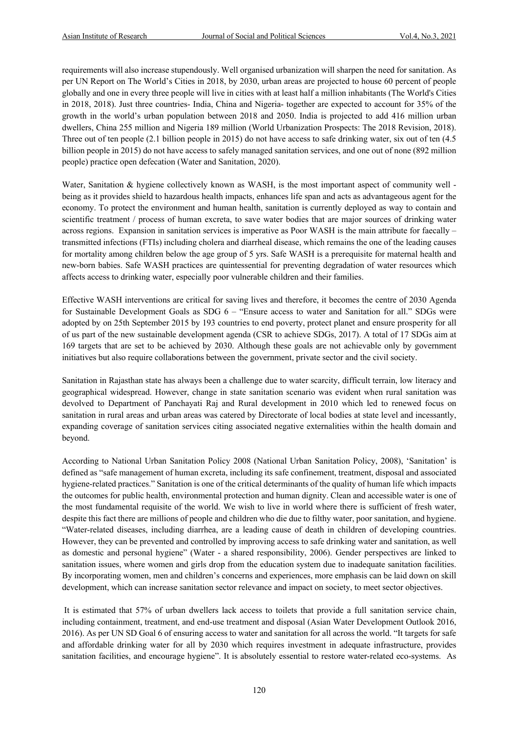requirements will also increase stupendously. Well organised urbanization will sharpen the need for sanitation. As per UN Report on The World's Cities in 2018, by 2030, urban areas are projected to house 60 percent of people globally and one in every three people will live in cities with at least half a million inhabitants (The World's Cities in 2018, 2018). Just three countries- India, China and Nigeria- together are expected to account for 35% of the growth in the world's urban population between 2018 and 2050. India is projected to add 416 million urban dwellers, China 255 million and Nigeria 189 million (World Urbanization Prospects: The 2018 Revision, 2018). Three out of ten people (2.1 billion people in 2015) do not have access to safe drinking water, six out of ten (4.5 billion people in 2015) do not have access to safely managed sanitation services, and one out of none (892 million people) practice open defecation (Water and Sanitation, 2020).

Water, Sanitation & hygiene collectively known as WASH, is the most important aspect of community well being as it provides shield to hazardous health impacts, enhances life span and acts as advantageous agent for the economy. To protect the environment and human health, sanitation is currently deployed as way to contain and scientific treatment / process of human excreta, to save water bodies that are major sources of drinking water across regions. Expansion in sanitation services is imperative as Poor WASH is the main attribute for faecally – transmitted infections (FTIs) including cholera and diarrheal disease, which remains the one of the leading causes for mortality among children below the age group of 5 yrs. Safe WASH is a prerequisite for maternal health and new-born babies. Safe WASH practices are quintessential for preventing degradation of water resources which affects access to drinking water, especially poor vulnerable children and their families.

Effective WASH interventions are critical for saving lives and therefore, it becomes the centre of 2030 Agenda for Sustainable Development Goals as SDG 6 – "Ensure access to water and Sanitation for all." SDGs were adopted by on 25th September 2015 by 193 countries to end poverty, protect planet and ensure prosperity for all of us part of the new sustainable development agenda (CSR to achieve SDGs, 2017). A total of 17 SDGs aim at 169 targets that are set to be achieved by 2030. Although these goals are not achievable only by government initiatives but also require collaborations between the government, private sector and the civil society.

Sanitation in Rajasthan state has always been a challenge due to water scarcity, difficult terrain, low literacy and geographical widespread. However, change in state sanitation scenario was evident when rural sanitation was devolved to Department of Panchayati Raj and Rural development in 2010 which led to renewed focus on sanitation in rural areas and urban areas was catered by Directorate of local bodies at state level and incessantly, expanding coverage of sanitation services citing associated negative externalities within the health domain and beyond.

According to National Urban Sanitation Policy 2008 (National Urban Sanitation Policy, 2008), 'Sanitation' is defined as "safe management of human excreta, including its safe confinement, treatment, disposal and associated hygiene-related practices." Sanitation is one of the critical determinants of the quality of human life which impacts the outcomes for public health, environmental protection and human dignity. Clean and accessible water is one of the most fundamental requisite of the world. We wish to live in world where there is sufficient of fresh water, despite this fact there are millions of people and children who die due to filthy water, poor sanitation, and hygiene. "Water-related diseases, including diarrhea, are a leading cause of death in children of developing countries. However, they can be prevented and controlled by improving access to safe drinking water and sanitation, as well as domestic and personal hygiene" (Water - a shared responsibility, 2006). Gender perspectives are linked to sanitation issues, where women and girls drop from the education system due to inadequate sanitation facilities. By incorporating women, men and children's concerns and experiences, more emphasis can be laid down on skill development, which can increase sanitation sector relevance and impact on society, to meet sector objectives.

It is estimated that 57% of urban dwellers lack access to toilets that provide a full sanitation service chain, including containment, treatment, and end-use treatment and disposal (Asian Water Development Outlook 2016, 2016). As per UN SD Goal 6 of ensuring access to water and sanitation for all across the world. "It targets for safe and affordable drinking water for all by 2030 which requires investment in adequate infrastructure, provides sanitation facilities, and encourage hygiene". It is absolutely essential to restore water-related eco-systems. As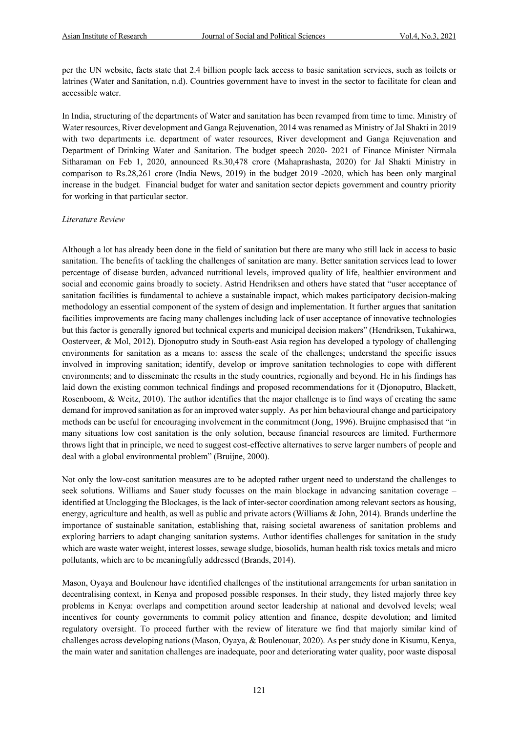per the UN website, facts state that 2.4 billion people lack access to basic sanitation services, such as toilets or latrines (Water and Sanitation, n.d). Countries government have to invest in the sector to facilitate for clean and accessible water.

In India, structuring of the departments of Water and sanitation has been revamped from time to time. Ministry of Water resources, River development and Ganga Rejuvenation, 2014 was renamed as Ministry of Jal Shakti in 2019 with two departments i.e. department of water resources, River development and Ganga Rejuvenation and Department of Drinking Water and Sanitation. The budget speech 2020- 2021 of Finance Minister Nirmala Sitharaman on Feb 1, 2020, announced Rs.30,478 crore (Mahaprashasta, 2020) for Jal Shakti Ministry in comparison to Rs.28,261 crore (India News, 2019) in the budget 2019 -2020, which has been only marginal increase in the budget. Financial budget for water and sanitation sector depicts government and country priority for working in that particular sector.

#### *Literature Review*

Although a lot has already been done in the field of sanitation but there are many who still lack in access to basic sanitation. The benefits of tackling the challenges of sanitation are many. Better sanitation services lead to lower percentage of disease burden, advanced nutritional levels, improved quality of life, healthier environment and social and economic gains broadly to society. Astrid Hendriksen and others have stated that "user acceptance of sanitation facilities is fundamental to achieve a sustainable impact, which makes participatory decision-making methodology an essential component of the system of design and implementation. It further argues that sanitation facilities improvements are facing many challenges including lack of user acceptance of innovative technologies but this factor is generally ignored but technical experts and municipal decision makers" (Hendriksen, Tukahirwa, Oosterveer, & Mol, 2012). Djonoputro study in South-east Asia region has developed a typology of challenging environments for sanitation as a means to: assess the scale of the challenges; understand the specific issues involved in improving sanitation; identify, develop or improve sanitation technologies to cope with different environments; and to disseminate the results in the study countries, regionally and beyond. He in his findings has laid down the existing common technical findings and proposed recommendations for it (Djonoputro, Blackett, Rosenboom, & Weitz, 2010). The author identifies that the major challenge is to find ways of creating the same demand for improved sanitation as for an improved water supply. As per him behavioural change and participatory methods can be useful for encouraging involvement in the commitment (Jong, 1996). Bruijne emphasised that "in many situations low cost sanitation is the only solution, because financial resources are limited. Furthermore throws light that in principle, we need to suggest cost-effective alternatives to serve larger numbers of people and deal with a global environmental problem" (Bruijne, 2000).

Not only the low-cost sanitation measures are to be adopted rather urgent need to understand the challenges to seek solutions. Williams and Sauer study focusses on the main blockage in advancing sanitation coverage – identified at Unclogging the Blockages, is the lack of inter-sector coordination among relevant sectors as housing, energy, agriculture and health, as well as public and private actors (Williams & John, 2014). Brands underline the importance of sustainable sanitation, establishing that, raising societal awareness of sanitation problems and exploring barriers to adapt changing sanitation systems. Author identifies challenges for sanitation in the study which are waste water weight, interest losses, sewage sludge, biosolids, human health risk toxics metals and micro pollutants, which are to be meaningfully addressed (Brands, 2014).

Mason, Oyaya and Boulenour have identified challenges of the institutional arrangements for urban sanitation in decentralising context, in Kenya and proposed possible responses. In their study, they listed majorly three key problems in Kenya: overlaps and competition around sector leadership at national and devolved levels; weal incentives for county governments to commit policy attention and finance, despite devolution; and limited regulatory oversight. To proceed further with the review of literature we find that majorly similar kind of challenges across developing nations (Mason, Oyaya, & Boulenouar, 2020). As per study done in Kisumu, Kenya, the main water and sanitation challenges are inadequate, poor and deteriorating water quality, poor waste disposal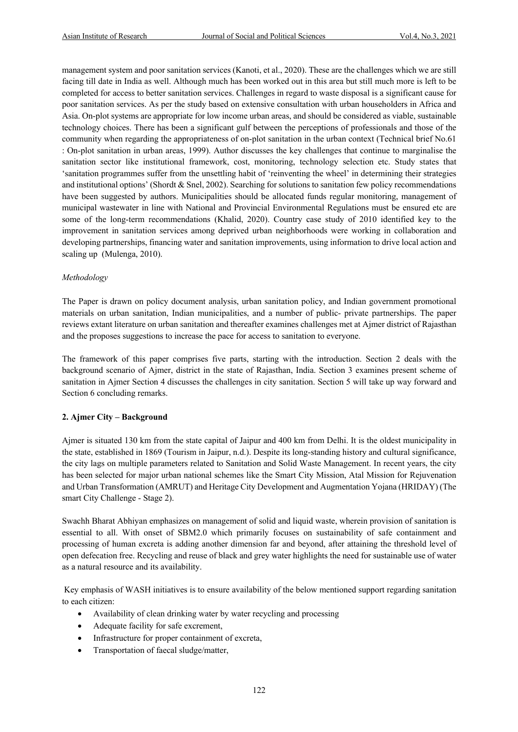management system and poor sanitation services (Kanoti, et al., 2020). These are the challenges which we are still facing till date in India as well. Although much has been worked out in this area but still much more is left to be completed for access to better sanitation services. Challenges in regard to waste disposal is a significant cause for poor sanitation services. As per the study based on extensive consultation with urban householders in Africa and Asia. On-plot systems are appropriate for low income urban areas, and should be considered as viable, sustainable technology choices. There has been a significant gulf between the perceptions of professionals and those of the community when regarding the appropriateness of on-plot sanitation in the urban context (Technical brief No.61 : On-plot sanitation in urban areas, 1999). Author discusses the key challenges that continue to marginalise the sanitation sector like institutional framework, cost, monitoring, technology selection etc. Study states that 'sanitation programmes suffer from the unsettling habit of 'reinventing the wheel' in determining their strategies and institutional options' (Shordt & Snel, 2002). Searching for solutions to sanitation few policy recommendations have been suggested by authors. Municipalities should be allocated funds regular monitoring, management of municipal wastewater in line with National and Provincial Environmental Regulations must be ensured etc are some of the long-term recommendations (Khalid, 2020). Country case study of 2010 identified key to the improvement in sanitation services among deprived urban neighborhoods were working in collaboration and developing partnerships, financing water and sanitation improvements, using information to drive local action and scaling up (Mulenga, 2010).

# *Methodology*

The Paper is drawn on policy document analysis, urban sanitation policy, and Indian government promotional materials on urban sanitation, Indian municipalities, and a number of public- private partnerships. The paper reviews extant literature on urban sanitation and thereafter examines challenges met at Ajmer district of Rajasthan and the proposes suggestions to increase the pace for access to sanitation to everyone.

The framework of this paper comprises five parts, starting with the introduction. Section 2 deals with the background scenario of Ajmer, district in the state of Rajasthan, India. Section 3 examines present scheme of sanitation in Ajmer Section 4 discusses the challenges in city sanitation. Section 5 will take up way forward and Section 6 concluding remarks.

# **2. Ajmer City – Background**

Ajmer is situated 130 km from the state capital of Jaipur and 400 km from Delhi. It is the oldest municipality in the state, established in 1869 (Tourism in Jaipur, n.d.). Despite its long-standing history and cultural significance, the city lags on multiple parameters related to Sanitation and Solid Waste Management. In recent years, the city has been selected for major urban national schemes like the Smart City Mission, Atal Mission for Rejuvenation and Urban Transformation (AMRUT) and Heritage City Development and Augmentation Yojana (HRIDAY) (The smart City Challenge - Stage 2).

Swachh Bharat Abhiyan emphasizes on management of solid and liquid waste, wherein provision of sanitation is essential to all. With onset of SBM2.0 which primarily focuses on sustainability of safe containment and processing of human excreta is adding another dimension far and beyond, after attaining the threshold level of open defecation free. Recycling and reuse of black and grey water highlights the need for sustainable use of water as a natural resource and its availability.

Key emphasis of WASH initiatives is to ensure availability of the below mentioned support regarding sanitation to each citizen:

- Availability of clean drinking water by water recycling and processing
- Adequate facility for safe excrement,
- Infrastructure for proper containment of excreta,
- Transportation of faecal sludge/matter,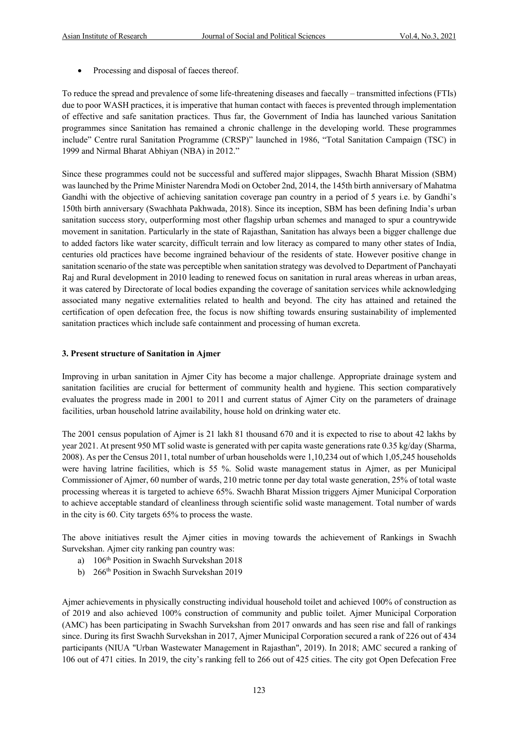• Processing and disposal of faeces thereof.

To reduce the spread and prevalence of some life-threatening diseases and faecally – transmitted infections (FTIs) due to poor WASH practices, it is imperative that human contact with faeces is prevented through implementation of effective and safe sanitation practices. Thus far, the Government of India has launched various Sanitation programmes since Sanitation has remained a chronic challenge in the developing world. These programmes include" Centre rural Sanitation Programme (CRSP)" launched in 1986, "Total Sanitation Campaign (TSC) in 1999 and Nirmal Bharat Abhiyan (NBA) in 2012."

Since these programmes could not be successful and suffered major slippages, Swachh Bharat Mission (SBM) was launched by the Prime Minister Narendra Modi on October 2nd, 2014, the 145th birth anniversary of Mahatma Gandhi with the objective of achieving sanitation coverage pan country in a period of 5 years i.e. by Gandhi's 150th birth anniversary (Swachhata Pakhwada, 2018). Since its inception, SBM has been defining India's urban sanitation success story, outperforming most other flagship urban schemes and managed to spur a countrywide movement in sanitation. Particularly in the state of Rajasthan, Sanitation has always been a bigger challenge due to added factors like water scarcity, difficult terrain and low literacy as compared to many other states of India, centuries old practices have become ingrained behaviour of the residents of state. However positive change in sanitation scenario of the state was perceptible when sanitation strategy was devolved to Department of Panchayati Raj and Rural development in 2010 leading to renewed focus on sanitation in rural areas whereas in urban areas, it was catered by Directorate of local bodies expanding the coverage of sanitation services while acknowledging associated many negative externalities related to health and beyond. The city has attained and retained the certification of open defecation free, the focus is now shifting towards ensuring sustainability of implemented sanitation practices which include safe containment and processing of human excreta.

#### **3. Present structure of Sanitation in Ajmer**

Improving in urban sanitation in Ajmer City has become a major challenge. Appropriate drainage system and sanitation facilities are crucial for betterment of community health and hygiene. This section comparatively evaluates the progress made in 2001 to 2011 and current status of Ajmer City on the parameters of drainage facilities, urban household latrine availability, house hold on drinking water etc.

The 2001 census population of Ajmer is 21 lakh 81 thousand 670 and it is expected to rise to about 42 lakhs by year 2021. At present 950 MT solid waste is generated with per capita waste generations rate 0.35 kg/day (Sharma, 2008). As per the Census 2011, total number of urban households were 1,10,234 out of which 1,05,245 households were having latrine facilities, which is 55 %. Solid waste management status in Ajmer, as per Municipal Commissioner of Ajmer, 60 number of wards, 210 metric tonne per day total waste generation, 25% of total waste processing whereas it is targeted to achieve 65%. Swachh Bharat Mission triggers Ajmer Municipal Corporation to achieve acceptable standard of cleanliness through scientific solid waste management. Total number of wards in the city is 60. City targets 65% to process the waste.

The above initiatives result the Ajmer cities in moving towards the achievement of Rankings in Swachh Survekshan. Ajmer city ranking pan country was:

- a) 106<sup>th</sup> Position in Swachh Survekshan 2018
- b) 266<sup>th</sup> Position in Swachh Survekshan 2019

Ajmer achievements in physically constructing individual household toilet and achieved 100% of construction as of 2019 and also achieved 100% construction of community and public toilet. Ajmer Municipal Corporation (AMC) has been participating in Swachh Survekshan from 2017 onwards and has seen rise and fall of rankings since. During its first Swachh Survekshan in 2017, Ajmer Municipal Corporation secured a rank of 226 out of 434 participants (NIUA "Urban Wastewater Management in Rajasthan", 2019). In 2018; AMC secured a ranking of 106 out of 471 cities. In 2019, the city's ranking fell to 266 out of 425 cities. The city got Open Defecation Free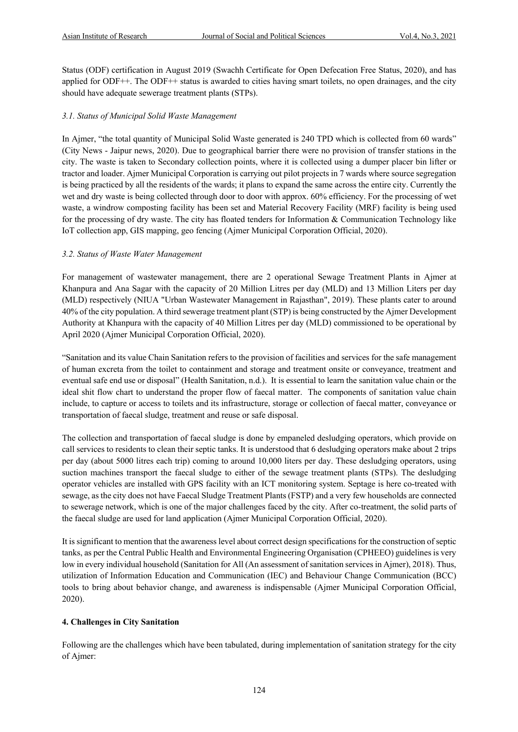Status (ODF) certification in August 2019 (Swachh Certificate for Open Defecation Free Status, 2020), and has applied for ODF++. The ODF++ status is awarded to cities having smart toilets, no open drainages, and the city should have adequate sewerage treatment plants (STPs).

# *3.1. Status of Municipal Solid Waste Management*

In Ajmer, "the total quantity of Municipal Solid Waste generated is 240 TPD which is collected from 60 wards" (City News - Jaipur news, 2020). Due to geographical barrier there were no provision of transfer stations in the city. The waste is taken to Secondary collection points, where it is collected using a dumper placer bin lifter or tractor and loader. Ajmer Municipal Corporation is carrying out pilot projects in 7 wards where source segregation is being practiced by all the residents of the wards; it plans to expand the same across the entire city. Currently the wet and dry waste is being collected through door to door with approx. 60% efficiency. For the processing of wet waste, a windrow composting facility has been set and Material Recovery Facility (MRF) facility is being used for the processing of dry waste. The city has floated tenders for Information & Communication Technology like IoT collection app, GIS mapping, geo fencing (Ajmer Municipal Corporation Official, 2020).

# *3.2. Status of Waste Water Management*

For management of wastewater management, there are 2 operational Sewage Treatment Plants in Ajmer at Khanpura and Ana Sagar with the capacity of 20 Million Litres per day (MLD) and 13 Million Liters per day (MLD) respectively (NIUA "Urban Wastewater Management in Rajasthan", 2019). These plants cater to around 40% of the city population. A third sewerage treatment plant (STP) is being constructed by the Ajmer Development Authority at Khanpura with the capacity of 40 Million Litres per day (MLD) commissioned to be operational by April 2020 (Ajmer Municipal Corporation Official, 2020).

"Sanitation and its value Chain Sanitation refers to the provision of facilities and services for the safe management of human excreta from the toilet to containment and storage and treatment onsite or conveyance, treatment and eventual safe end use or disposal" (Health Sanitation, n.d.). It is essential to learn the sanitation value chain or the ideal shit flow chart to understand the proper flow of faecal matter. The components of sanitation value chain include, to capture or access to toilets and its infrastructure, storage or collection of faecal matter, conveyance or transportation of faecal sludge, treatment and reuse or safe disposal.

The collection and transportation of faecal sludge is done by empaneled desludging operators, which provide on call services to residents to clean their septic tanks. It is understood that 6 desludging operators make about 2 trips per day (about 5000 litres each trip) coming to around 10,000 liters per day. These desludging operators, using suction machines transport the faecal sludge to either of the sewage treatment plants (STPs). The desludging operator vehicles are installed with GPS facility with an ICT monitoring system. Septage is here co-treated with sewage, as the city does not have Faecal Sludge Treatment Plants (FSTP) and a very few households are connected to sewerage network, which is one of the major challenges faced by the city. After co-treatment, the solid parts of the faecal sludge are used for land application (Ajmer Municipal Corporation Official, 2020).

It is significant to mention that the awareness level about correct design specifications for the construction of septic tanks, as per the Central Public Health and Environmental Engineering Organisation (CPHEEO) guidelines is very low in every individual household (Sanitation for All (An assessment of sanitation services in Ajmer), 2018). Thus, utilization of Information Education and Communication (IEC) and Behaviour Change Communication (BCC) tools to bring about behavior change, and awareness is indispensable (Ajmer Municipal Corporation Official, 2020).

# **4. Challenges in City Sanitation**

Following are the challenges which have been tabulated, during implementation of sanitation strategy for the city of Ajmer: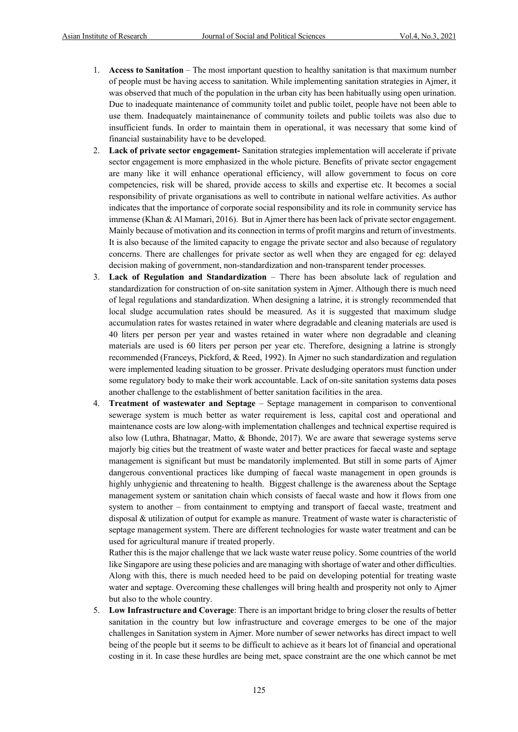- 1. **Access to Sanitation** The most important question to healthy sanitation is that maximum number of people must be having access to sanitation. While implementing sanitation strategies in Ajmer, it was observed that much of the population in the urban city has been habitually using open urination. Due to inadequate maintenance of community toilet and public toilet, people have not been able to use them. Inadequately maintainenance of community toilets and public toilets was also due to insufficient funds. In order to maintain them in operational, it was necessary that some kind of financial sustainability have to be developed.
- 2. **Lack of private sector engagement-** Sanitation strategies implementation will accelerate if private sector engagement is more emphasized in the whole picture. Benefits of private sector engagement are many like it will enhance operational efficiency, will allow government to focus on core competencies, risk will be shared, provide access to skills and expertise etc. It becomes a social responsibility of private organisations as well to contribute in national welfare activities. As author indicates that the importance of corporate social responsibility and its role in community service has immense (Khan & Al Mamari, 2016). But in Ajmer there has been lack of private sector engagement. Mainly because of motivation and its connection in terms of profit margins and return of investments. It is also because of the limited capacity to engage the private sector and also because of regulatory concerns. There are challenges for private sector as well when they are engaged for eg: delayed decision making of government, non-standardization and non-transparent tender processes.
- 3. **Lack of Regulation and Standardization** There has been absolute lack of regulation and standardization for construction of on-site sanitation system in Ajmer. Although there is much need of legal regulations and standardization. When designing a latrine, it is strongly recommended that local sludge accumulation rates should be measured. As it is suggested that maximum sludge accumulation rates for wastes retained in water where degradable and cleaning materials are used is 40 liters per person per year and wastes retained in water where non degradable and cleaning materials are used is 60 liters per person per year etc. Therefore, designing a latrine is strongly recommended (Franceys, Pickford, & Reed, 1992). In Ajmer no such standardization and regulation were implemented leading situation to be grosser. Private desludging operators must function under some regulatory body to make their work accountable. Lack of on-site sanitation systems data poses another challenge to the establishment of better sanitation facilities in the area.
- 4. **Treatment of wastewater and Septage** Septage management in comparison to conventional sewerage system is much better as water requirement is less, capital cost and operational and maintenance costs are low along-with implementation challenges and technical expertise required is also low (Luthra, Bhatnagar, Matto, & Bhonde, 2017). We are aware that sewerage systems serve majorly big cities but the treatment of waste water and better practices for faecal waste and septage management is significant but must be mandatorily implemented. But still in some parts of Ajmer dangerous conventional practices like dumping of faecal waste management in open grounds is highly unhygienic and threatening to health. Biggest challenge is the awareness about the Septage management system or sanitation chain which consists of faecal waste and how it flows from one system to another – from containment to emptying and transport of faecal waste, treatment and disposal & utilization of output for example as manure. Treatment of waste water is characteristic of septage management system. There are different technologies for waste water treatment and can be used for agricultural manure if treated properly.

Rather this is the major challenge that we lack waste water reuse policy. Some countries of the world like Singapore are using these policies and are managing with shortage of water and other difficulties. Along with this, there is much needed heed to be paid on developing potential for treating waste water and septage. Overcoming these challenges will bring health and prosperity not only to Ajmer but also to the whole country.

5. **Low Infrastructure and Coverage**: There is an important bridge to bring closer the results of better sanitation in the country but low infrastructure and coverage emerges to be one of the major challenges in Sanitation system in Ajmer. More number of sewer networks has direct impact to well being of the people but it seems to be difficult to achieve as it bears lot of financial and operational costing in it. In case these hurdles are being met, space constraint are the one which cannot be met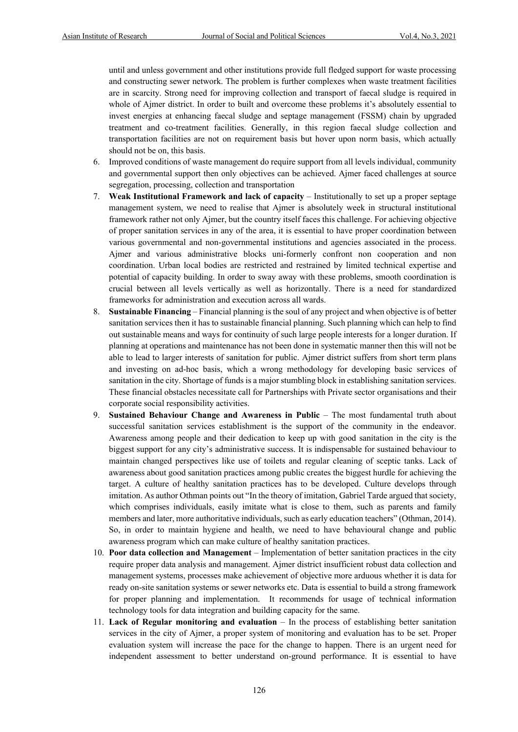until and unless government and other institutions provide full fledged support for waste processing and constructing sewer network. The problem is further complexes when waste treatment facilities are in scarcity. Strong need for improving collection and transport of faecal sludge is required in whole of Ajmer district. In order to built and overcome these problems it's absolutely essential to invest energies at enhancing faecal sludge and septage management (FSSM) chain by upgraded treatment and co-treatment facilities. Generally, in this region faecal sludge collection and transportation facilities are not on requirement basis but hover upon norm basis, which actually should not be on, this basis.

- 6. Improved conditions of waste management do require support from all levels individual, community and governmental support then only objectives can be achieved. Ajmer faced challenges at source segregation, processing, collection and transportation
- 7. **Weak Institutional Framework and lack of capacity** Institutionally to set up a proper septage management system, we need to realise that Ajmer is absolutely week in structural institutional framework rather not only Ajmer, but the country itself faces this challenge. For achieving objective of proper sanitation services in any of the area, it is essential to have proper coordination between various governmental and non-governmental institutions and agencies associated in the process. Ajmer and various administrative blocks uni-formerly confront non cooperation and non coordination. Urban local bodies are restricted and restrained by limited technical expertise and potential of capacity building. In order to sway away with these problems, smooth coordination is crucial between all levels vertically as well as horizontally. There is a need for standardized frameworks for administration and execution across all wards.
- 8. **Sustainable Financing** Financial planning is the soul of any project and when objective is of better sanitation services then it has to sustainable financial planning. Such planning which can help to find out sustainable means and ways for continuity of such large people interests for a longer duration. If planning at operations and maintenance has not been done in systematic manner then this will not be able to lead to larger interests of sanitation for public. Ajmer district suffers from short term plans and investing on ad-hoc basis, which a wrong methodology for developing basic services of sanitation in the city. Shortage of funds is a major stumbling block in establishing sanitation services. These financial obstacles necessitate call for Partnerships with Private sector organisations and their corporate social responsibility activities.
- 9. **Sustained Behaviour Change and Awareness in Public** The most fundamental truth about successful sanitation services establishment is the support of the community in the endeavor. Awareness among people and their dedication to keep up with good sanitation in the city is the biggest support for any city's administrative success. It is indispensable for sustained behaviour to maintain changed perspectives like use of toilets and regular cleaning of sceptic tanks. Lack of awareness about good sanitation practices among public creates the biggest hurdle for achieving the target. A culture of healthy sanitation practices has to be developed. Culture develops through imitation. As author Othman points out "In the theory of imitation, Gabriel Tarde argued that society, which comprises individuals, easily imitate what is close to them, such as parents and family members and later, more authoritative individuals, such as early education teachers" (Othman, 2014). So, in order to maintain hygiene and health, we need to have behavioural change and public awareness program which can make culture of healthy sanitation practices.
- 10. **Poor data collection and Management** Implementation of better sanitation practices in the city require proper data analysis and management. Ajmer district insufficient robust data collection and management systems, processes make achievement of objective more arduous whether it is data for ready on-site sanitation systems or sewer networks etc. Data is essential to build a strong framework for proper planning and implementation. It recommends for usage of technical information technology tools for data integration and building capacity for the same.
- 11. **Lack of Regular monitoring and evaluation** In the process of establishing better sanitation services in the city of Ajmer, a proper system of monitoring and evaluation has to be set. Proper evaluation system will increase the pace for the change to happen. There is an urgent need for independent assessment to better understand on-ground performance. It is essential to have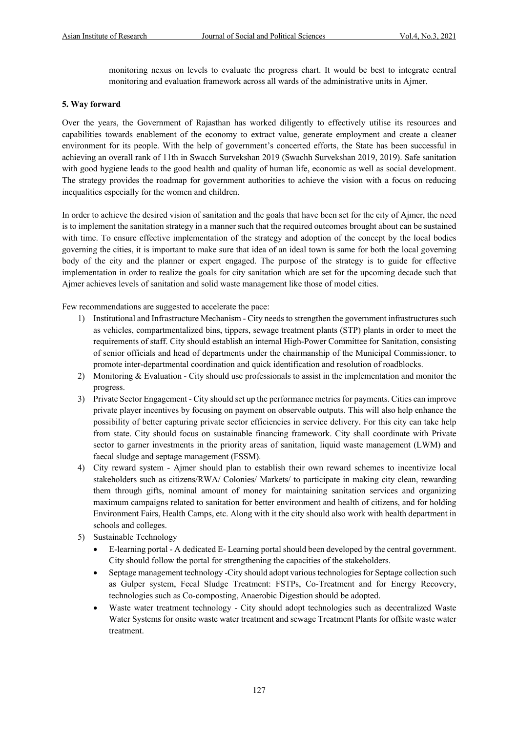monitoring nexus on levels to evaluate the progress chart. It would be best to integrate central monitoring and evaluation framework across all wards of the administrative units in Ajmer.

#### **5. Way forward**

Over the years, the Government of Rajasthan has worked diligently to effectively utilise its resources and capabilities towards enablement of the economy to extract value, generate employment and create a cleaner environment for its people. With the help of government's concerted efforts, the State has been successful in achieving an overall rank of 11th in Swacch Survekshan 2019 (Swachh Survekshan 2019, 2019). Safe sanitation with good hygiene leads to the good health and quality of human life, economic as well as social development. The strategy provides the roadmap for government authorities to achieve the vision with a focus on reducing inequalities especially for the women and children.

In order to achieve the desired vision of sanitation and the goals that have been set for the city of Ajmer, the need is to implement the sanitation strategy in a manner such that the required outcomes brought about can be sustained with time. To ensure effective implementation of the strategy and adoption of the concept by the local bodies governing the cities, it is important to make sure that idea of an ideal town is same for both the local governing body of the city and the planner or expert engaged. The purpose of the strategy is to guide for effective implementation in order to realize the goals for city sanitation which are set for the upcoming decade such that Ajmer achieves levels of sanitation and solid waste management like those of model cities.

Few recommendations are suggested to accelerate the pace:

- 1) Institutional and Infrastructure Mechanism City needs to strengthen the government infrastructures such as vehicles, compartmentalized bins, tippers, sewage treatment plants (STP) plants in order to meet the requirements of staff. City should establish an internal High-Power Committee for Sanitation, consisting of senior officials and head of departments under the chairmanship of the Municipal Commissioner, to promote inter-departmental coordination and quick identification and resolution of roadblocks.
- 2) Monitoring & Evaluation City should use professionals to assist in the implementation and monitor the progress.
- 3) Private Sector Engagement City should set up the performance metrics for payments. Cities can improve private player incentives by focusing on payment on observable outputs. This will also help enhance the possibility of better capturing private sector efficiencies in service delivery. For this city can take help from state. City should focus on sustainable financing framework. City shall coordinate with Private sector to garner investments in the priority areas of sanitation, liquid waste management (LWM) and faecal sludge and septage management (FSSM).
- 4) City reward system Ajmer should plan to establish their own reward schemes to incentivize local stakeholders such as citizens/RWA/ Colonies/ Markets/ to participate in making city clean, rewarding them through gifts, nominal amount of money for maintaining sanitation services and organizing maximum campaigns related to sanitation for better environment and health of citizens, and for holding Environment Fairs, Health Camps, etc. Along with it the city should also work with health department in schools and colleges.
- 5) Sustainable Technology
	- E-learning portal A dedicated E- Learning portal should been developed by the central government. City should follow the portal for strengthening the capacities of the stakeholders.
	- Septage management technology -City should adopt various technologies for Septage collection such as Gulper system, Fecal Sludge Treatment: FSTPs, Co-Treatment and for Energy Recovery, technologies such as Co-composting, Anaerobic Digestion should be adopted.
	- Waste water treatment technology City should adopt technologies such as decentralized Waste Water Systems for onsite waste water treatment and sewage Treatment Plants for offsite waste water treatment.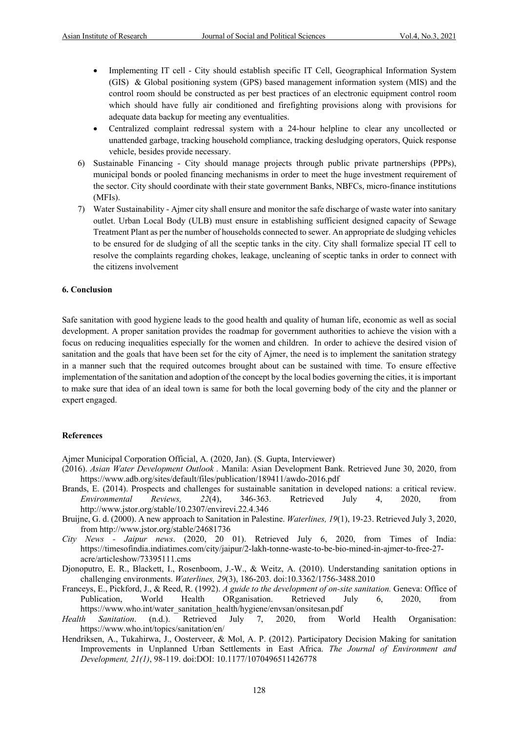- Implementing IT cell City should establish specific IT Cell, Geographical Information System (GIS) & Global positioning system (GPS) based management information system (MIS) and the control room should be constructed as per best practices of an electronic equipment control room which should have fully air conditioned and firefighting provisions along with provisions for adequate data backup for meeting any eventualities.
- Centralized complaint redressal system with a 24-hour helpline to clear any uncollected or unattended garbage, tracking household compliance, tracking desludging operators, Quick response vehicle, besides provide necessary.
- 6) Sustainable Financing City should manage projects through public private partnerships (PPPs), municipal bonds or pooled financing mechanisms in order to meet the huge investment requirement of the sector. City should coordinate with their state government Banks, NBFCs, micro-finance institutions (MFIs).
- 7) Water Sustainability Ajmer city shall ensure and monitor the safe discharge of waste water into sanitary outlet. Urban Local Body (ULB) must ensure in establishing sufficient designed capacity of Sewage Treatment Plant as per the number of households connected to sewer. An appropriate de sludging vehicles to be ensured for de sludging of all the sceptic tanks in the city. City shall formalize special IT cell to resolve the complaints regarding chokes, leakage, uncleaning of sceptic tanks in order to connect with the citizens involvement

#### **6. Conclusion**

Safe sanitation with good hygiene leads to the good health and quality of human life, economic as well as social development. A proper sanitation provides the roadmap for government authorities to achieve the vision with a focus on reducing inequalities especially for the women and children. In order to achieve the desired vision of sanitation and the goals that have been set for the city of Ajmer, the need is to implement the sanitation strategy in a manner such that the required outcomes brought about can be sustained with time. To ensure effective implementation of the sanitation and adoption of the concept by the local bodies governing the cities, it is important to make sure that idea of an ideal town is same for both the local governing body of the city and the planner or expert engaged.

# **References**

Ajmer Municipal Corporation Official, A. (2020, Jan). (S. Gupta, Interviewer)

- (2016). *Asian Water Development Outlook .* Manila: Asian Development Bank. Retrieved June 30, 2020, from https://www.adb.org/sites/default/files/publication/189411/awdo-2016.pdf
- Brands, E. (2014). Prospects and challenges for sustainable sanitation in developed nations: a critical review. *Environmental Reviews, 22*(4), 346-363. Retrieved July 4, 2020, from http://www.jstor.org/stable/10.2307/envirevi.22.4.346
- Bruijne, G. d. (2000). A new approach to Sanitation in Palestine. *Waterlines, 19*(1), 19-23. Retrieved July 3, 2020, from http://www.jstor.org/stable/24681736
- *City News - Jaipur news*. (2020, 20 01). Retrieved July 6, 2020, from Times of India: https://timesofindia.indiatimes.com/city/jaipur/2-lakh-tonne-waste-to-be-bio-mined-in-ajmer-to-free-27 acre/articleshow/73395111.cms
- Djonoputro, E. R., Blackett, I., Rosenboom, J.-W., & Weitz, A. (2010). Understanding sanitation options in challenging environments. *Waterlines, 29*(3), 186-203. doi:10.3362/1756-3488.2010
- Franceys, E., Pickford, J., & Reed, R. (1992). *A guide to the development of on-site sanitation.* Geneva: Office of Publication, World Health ORganisation. Retrieved July 6, 2020, from https://www.who.int/water\_sanitation\_health/hygiene/envsan/onsitesan.pdf
- *Health Sanitation*. (n.d.). Retrieved July 7, 2020, from World Health Organisation: https://www.who.int/topics/sanitation/en/
- Hendriksen, A., Tukahirwa, J., Oosterveer, & Mol, A. P. (2012). Participatory Decision Making for sanitation Improvements in Unplanned Urban Settlements in East Africa. *The Journal of Environment and Development, 21(1)*, 98-119. doi:DOI: 10.1177/1070496511426778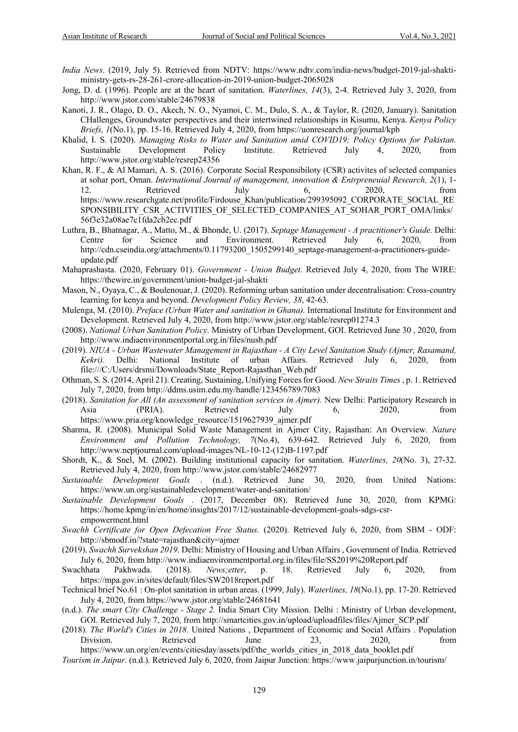- *India News*. (2019, July 5). Retrieved from NDTV: https://www.ndtv.com/india-news/budget-2019-jal-shaktiministry-gets-rs-28-261-crore-allocation-in-2019-union-budget-2065028
- Jong, D. d. (1996). People are at the heart of sanitation. *Waterlines, 14*(3), 2-4. Retrieved July 3, 2020, from http://www.jstor.com/stable/24679838
- Kanoti, J. R., Olago, D. O., Akech, N. O., Nyamoi, C. M., Dulo, S. A., & Taylor, R. (2020, January). Sanitation CHallenges, Groundwater perspectives and their intertwined relationships in Kisumu, Kenya. *Kenya Policy Briefs, 1*(No.1), pp. 15-16. Retrieved July 4, 2020, from https://uonresearch.org/journal/kpb
- Khalid, I. S. (2020). *Managing Risks to Water and Sanitation amid COVID19; Policy Options for Pakistan.* Sustainable Development Policy Institute. Retrieved July 4, 2020, from http://www.jstor.org/stable/resrep24356
- Khan, R. F., & Al Mamari, A. S. (2016). Corporate Social Responsibiloty (CSR) activites of selected companies at sohar port, Oman. *International Journal of management, innovation & Entrpreneuial Research, 2*(1), 1- 12. Retrieved July 6, 2020, from https://www.researchgate.net/profile/Firdouse\_Khan/publication/299395092\_CORPORATE\_SOCIAL\_RE SPONSIBILITY\_CSR\_ACTIVITIES\_OF\_SELECTED\_COMPANIES\_AT\_SOHAR\_PORT\_OMA/links/ 56f3e32a08ae7c1fda2cb2ec.pdf
- Luthra, B., Bhatnagar, A., Matto, M., & Bhonde, U. (2017). *Septage Management - A practitioner's Guide.* Delhi: Centre for Science and Environment. Retrieved July 6, 2020, from http://cdn.cseindia.org/attachments/0.11793200\_1505299140\_septage-management-a-practitioners-guideupdate.pdf
- Mahaprashasta. (2020, February 01). *Government - Union Budget*. Retrieved July 4, 2020, from The WIRE: https://thewire.in/government/union-budget-jal-shakti
- Mason, N., Oyaya, C., & Boulenouar, J. (2020). Reforming urban sanitation under decentralisation: Cross-country learning for kenya and beyond. *Development Policy Review, 38*, 42-63.
- Mulenga, M. (2010). *Preface (Urban Water and sanitation in Ghana).* International Institute for Environment and Development. Retrieved July 4, 2020, from http://www.jstor.org/stable/resrep01274.3
- (2008). *National Urban Sanitation Policy.* Ministry of Urban Development, GOI. Retrieved June 30 , 2020, from http://www.indiaenvironmentportal.org.in/files/nusb.pdf
- (2019). *NIUA - Urban Wastewater Management in Rajasthan - A City Level Sanitation Study (Ajmer, Rasamand, Kekri).* Delhi: National Institute of urban Affairs. Retrieved July 6, 2020, from file:///C:/Users/drsmi/Downloads/State\_Report-Rajasthan\_Web.pdf
- Othman, S. S. (2014, April 21). Creating, Sustaining, Unifying Forces for Good. *New Straits Times* , p. 1. Retrieved July 7, 2020, from http://ddms.usim.edu.my/handle/123456789/7083
- (2018). *Sanitation for All (An assessment of sanitation services in Ajmer).* New Delhi: Participatory Research in Asia (PRIA). Retrieved July 6, 2020, from https://www.pria.org/knowledge\_resource/1519627939\_ajmer.pdf
- Sharma, R. (2008). Municipal Solid Waste Management in Ajmer City, Rajasthan: An Overview. *Nature Environment and Pollution Technology, 7*(No.4), 639-642. Retrieved July 6, 2020, from http://www.neptjournal.com/upload-images/NL-10-12-(12)B-1197.pdf
- Shordt, K., & Snel, M. (2002). Building institutional capacity for sanitation. *Waterlines, 20*(No. 3), 27-32. Retrieved July 4, 2020, from http://www.jstor.com/stable/24682977
- *Sustainable Development Goals* . (n.d.). Retrieved June 30, 2020, from United Nations: https://www.un.org/sustainabledevelopment/water-and-sanitation/
- *Sustainable Development Goals* . (2017, December 08). Retrieved June 30, 2020, from KPMG: https://home.kpmg/in/en/home/insights/2017/12/sustainable-development-goals-sdgs-csrempowerment.html
- *Swachh Certificate for Open Defecation Free Status.* (2020). Retrieved July 6, 2020, from SBM ODF: http://sbmodf.in/?state=rajasthan&city=ajmer
- (2019). *Swachh Survekshan 2019.* Delhi: Ministry of Housing and Urban Affairs , Government of India. Retrieved July 6, 2020, from http://www.indiaenvironmentportal.org.in/files/file/SS2019%20Report.pdf
- Swachhata Pakhwada. (2018). *News;etter*, p. 18. Retrieved July 6, 2020, from https://mpa.gov.in/sites/default/files/SW2018report.pdf
- Technical brief No.61 : On-plot sanitation in urban areas. (1999, July). *Waterlines, 18*(No.1), pp. 17-20. Retrieved July 4, 2020, from https://www.jstor.org/stable/24681641
- (n.d.). *The smart City Challenge - Stage 2.* India Smart City Mission. Delhi : Ministry of Urban development, GOI. Retrieved July 7, 2020, from http://smartcities.gov.in/upload/uploadfiles/files/Ajmer\_SCP.pdf
- (2018). *The World's Cities in 2018.* United Nations , Department of Economic and Social Affairs . Population Division. Retrieved June 23, 2020, from https://www.un.org/en/events/citiesday/assets/pdf/the\_worlds\_cities\_in\_2018\_data\_booklet.pdf
- *Tourism in Jaipur*. (n.d.). Retrieved July 6, 2020, from Jaipur Junction: https://www.jaipurjunction.in/tourism/